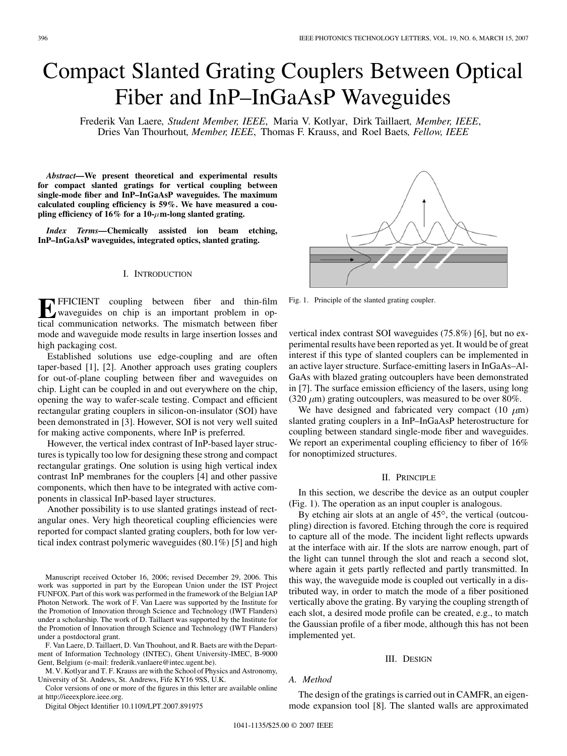# Compact Slanted Grating Couplers Between Optical Fiber and InP–InGaAsP Waveguides

Frederik Van Laere*, Student Member, IEEE*, Maria V. Kotlyar, Dirk Taillaert*, Member, IEEE*, Dries Van Thourhout*, Member, IEEE*, Thomas F. Krauss, and Roel Baets*, Fellow, IEEE*

*Abstract—***We present theoretical and experimental results for compact slanted gratings for vertical coupling between single-mode fiber and InP–InGaAsP waveguides. The maximum calculated coupling efficiency is 59%. We have measured a coupling efficiency of 16% for a 10-m-long slanted grating.**

*Index Terms—***Chemically assisted ion beam etching, InP–InGaAsP waveguides, integrated optics, slanted grating.**

## I. INTRODUCTION

**E**FFICIENT coupling between fiber and thin-film waveguides on chip is an important problem in optical communication networks. The mismatch between fiber mode and waveguide mode results in large insertion losses and high packaging cost.

Established solutions use edge-coupling and are often taper-based [\[1\]](#page-2-0), [\[2\]](#page-2-0). Another approach uses grating couplers for out-of-plane coupling between fiber and waveguides on chip. Light can be coupled in and out everywhere on the chip, opening the way to wafer-scale testing. Compact and efficient rectangular grating couplers in silicon-on-insulator (SOI) have been demonstrated in [\[3\].](#page-2-0) However, SOI is not very well suited for making active components, where InP is preferred.

However, the vertical index contrast of InP-based layer structures is typically too low for designing these strong and compact rectangular gratings. One solution is using high vertical index contrast InP membranes for the couplers [\[4\]](#page-2-0) and other passive components, which then have to be integrated with active components in classical InP-based layer structures.

Another possibility is to use slanted gratings instead of rectangular ones. Very high theoretical coupling efficiencies were reported for compact slanted grating couplers, both for low vertical index contrast polymeric waveguides (80.1%) [\[5\]](#page-2-0) and high

Manuscript received October 16, 2006; revised December 29, 2006. This work was supported in part by the European Union under the IST Project FUNFOX. Part of this work was performed in the framework of the Belgian IAP Photon Network. The work of F. Van Laere was supported by the Institute for the Promotion of Innovation through Science and Technology (IWT Flanders) under a scholarship. The work of D. Taillaert was supported by the Institute for the Promotion of Innovation through Science and Technology (IWT Flanders) under a postdoctoral grant.

F. Van Laere, D. Taillaert, D. Van Thouhout, and R. Baets are with the Department of Information Technology (INTEC), Ghent University-IMEC, B-9000 Gent, Belgium (e-mail: frederik.vanlaere@intec.ugent.be).

M. V. Kotlyar and T. F. Krauss are with the School of Physics and Astronomy, University of St. Andews, St. Andrews, Fife KY16 9SS, U.K.

Color versions of one or more of the figures in this letter are available online at http://ieeexplore.ieee.org.

Digital Object Identifier 10.1109/LPT.2007.891975

Fig. 1. Principle of the slanted grating coupler.

vertical index contrast SOI waveguides (75.8%) [\[6\]](#page-2-0), but no experimental results have been reported as yet. It would be of great interest if this type of slanted couplers can be implemented in an active layer structure. Surface-emitting lasers in InGaAs–Al-GaAs with blazed grating outcouplers have been demonstrated in [\[7\].](#page-2-0) The surface emission efficiency of the lasers, using long (320  $\mu$ m) grating outcouplers, was measured to be over 80%.

We have designed and fabricated very compact (10  $\mu$ m) slanted grating couplers in a InP–InGaAsP heterostructure for coupling between standard single-mode fiber and waveguides. We report an experimental coupling efficiency to fiber of 16% for nonoptimized structures.

# II. PRINCIPLE

In this section, we describe the device as an output coupler (Fig. 1). The operation as an input coupler is analogous.

By etching air slots at an angle of  $45^\circ$ , the vertical (outcoupling) direction is favored. Etching through the core is required to capture all of the mode. The incident light reflects upwards at the interface with air. If the slots are narrow enough, part of the light can tunnel through the slot and reach a second slot, where again it gets partly reflected and partly transmitted. In this way, the waveguide mode is coupled out vertically in a distributed way, in order to match the mode of a fiber positioned vertically above the grating. By varying the coupling strength of each slot, a desired mode profile can be created, e.g., to match the Gaussian profile of a fiber mode, although this has not been implemented yet.

## III. DESIGN

# *A. Method*

The design of the gratings is carried out in CAMFR, an eigenmode expansion tool [\[8\]](#page-2-0). The slanted walls are approximated

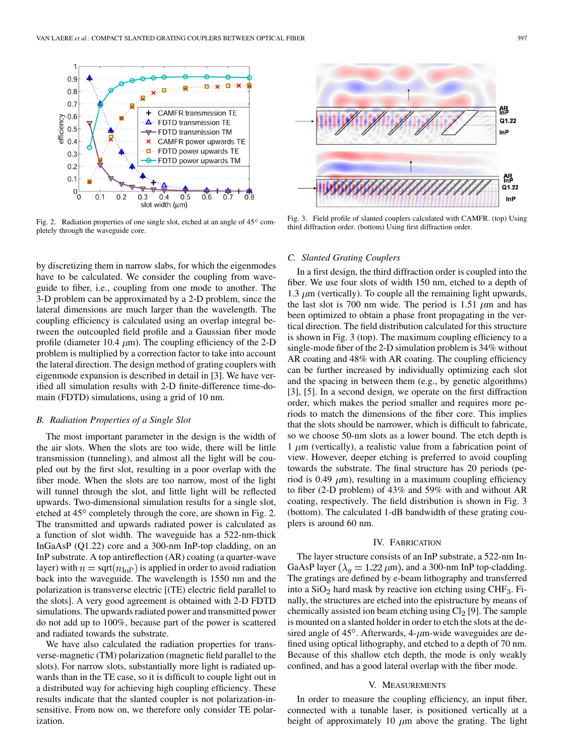

Fig. 2. Radiation properties of one single slot, etched at an angle of  $45^{\circ}$  completely through the waveguide core.

by discretizing them in narrow slabs, for which the eigenmodes have to be calculated. We consider the coupling from waveguide to fiber, i.e., coupling from one mode to another. The 3-D problem can be approximated by a 2-D problem, since the lateral dimensions are much larger than the wavelength. The coupling efficiency is calculated using an overlap integral between the outcoupled field profile and a Gaussian fiber mode profile (diameter 10.4  $\mu$ m). The coupling efficiency of the 2-D problem is multiplied by a correction factor to take into account the lateral direction. The design method of grating couplers with eigenmode expansion is described in detail in [\[3\]](#page-2-0). We have verified all simulation results with 2-D finite-difference time-domain (FDTD) simulations, using a grid of 10 nm.

## *B. Radiation Properties of a Single Slot*

The most important parameter in the design is the width of the air slots. When the slots are too wide, there will be little transmission (tunneling), and almost all the light will be coupled out by the first slot, resulting in a poor overlap with the fiber mode. When the slots are too narrow, most of the light will tunnel through the slot, and little light will be reflected upwards. Two-dimensional simulation results for a single slot, etched at  $45^{\circ}$  completely through the core, are shown in Fig. 2. The transmitted and upwards radiated power is calculated as a function of slot width. The waveguide has a 522-nm-thick InGaAsP (Q1.22) core and a 300-nm InP-top cladding, on an InP substrate. A top antireflection (AR) coating (a quarter-wave layer) with  $n = \sqrt{\text{sqrt}(n_{\text{In}})}$  is applied in order to avoid radiation back into the waveguide. The wavelength is 1550 nm and the polarization is transverse electric [(TE) electric field parallel to the slots]. A very good agreement is obtained with 2-D FDTD simulations. The upwards radiated power and transmitted power do not add up to 100%, because part of the power is scattered and radiated towards the substrate.

We have also calculated the radiation properties for transverse-magnetic (TM) polarization (magnetic field parallel to the slots). For narrow slots, substantially more light is radiated upwards than in the TE case, so it is difficult to couple light out in a distributed way for achieving high coupling efficiency. These results indicate that the slanted coupler is not polarization-insensitive. From now on, we therefore only consider TE polarization.



Fig. 3. Field profile of slanted couplers calculated with CAMFR. (top) Using third diffraction order. (bottom) Using first diffraction order.

# *C. Slanted Grating Couplers*

In a first design, the third diffraction order is coupled into the fiber. We use four slots of width 150 nm, etched to a depth of 1.3  $\mu$ m (vertically). To couple all the remaining light upwards, the last slot is 700 nm wide. The period is 1.51  $\mu$ m and has been optimized to obtain a phase front propagating in the vertical direction. The field distribution calculated for this structure is shown in Fig. 3 (top). The maximum coupling efficiency to a single-mode fiber of the 2-D simulation problem is 34% without AR coating and 48% with AR coating. The coupling efficiency can be further increased by individually optimizing each slot and the spacing in between them (e.g., by genetic algorithms) [\[3\], \[5\].](#page-2-0) In a second design, we operate on the first diffraction order, which makes the period smaller and requires more periods to match the dimensions of the fiber core. This implies that the slots should be narrower, which is difficult to fabricate, so we choose 50-nm slots as a lower bound. The etch depth is  $1 \mu m$  (vertically), a realistic value from a fabrication point of view. However, deeper etching is preferred to avoid coupling towards the substrate. The final structure has 20 periods (period is 0.49  $\mu$ m), resulting in a maximum coupling efficiency to fiber (2-D problem) of 43% and 59% with and without AR coating, respectively. The field distribution is shown in Fig. 3 (bottom). The calculated 1-dB bandwidth of these grating couplers is around 60 nm.

## IV. FABRICATION

The layer structure consists of an InP substrate, a 522-nm In-GaAsP layer ( $\lambda_q = 1.22 \ \mu m$ ), and a 300-nm InP top-cladding. The gratings are defined by e-beam lithography and transferred into a  $SiO<sub>2</sub>$  hard mask by reactive ion etching using CHF<sub>3</sub>. Finally, the structures are etched into the epistructure by means of chemically assisted ion beam etching using  $Cl_2$  [\[9\].](#page-2-0) The sample is mounted on a slanted holder in order to etch the slots at the desired angle of  $45^\circ$ . Afterwards, 4- $\mu$ m-wide waveguides are defined using optical lithography, and etched to a depth of 70 nm. Because of this shallow etch depth, the mode is only weakly confined, and has a good lateral overlap with the fiber mode.

## V. MEASUREMENTS

In order to measure the coupling efficiency, an input fiber, connected with a tunable laser, is positioned vertically at a height of approximately 10  $\mu$ m above the grating. The light